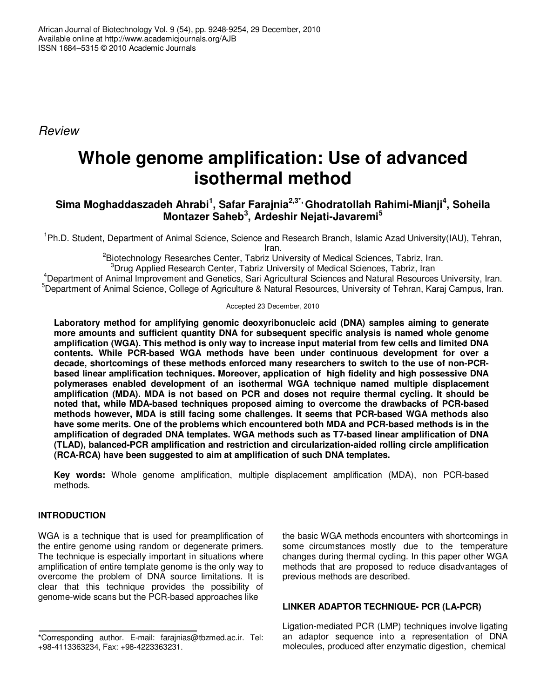*Review*

# **Whole genome amplification: Use of advanced isothermal method**

# **Sima Moghaddaszadeh Ahrabi 1 , Safar Farajnia 2,3\*, Ghodratollah Rahimi-Mianji 4 , Soheila Montazer Saheb 3 , Ardeshir Nejati-Javaremi 5**

<sup>1</sup>Ph.D. Student, Department of Animal Science, Science and Research Branch, Islamic Azad University(IAU), Tehran, Iran.

<sup>2</sup>Biotechnology Researches Center, Tabriz University of Medical Sciences, Tabriz, Iran.

 ${}^{3}$ Drug Applied Research Center, Tabriz University of Medical Sciences, Tabriz, Iran

<sup>4</sup>Department of Animal Improvement and Genetics, Sari Agricultural Sciences and Natural Resources University, Iran. <sup>5</sup>Department of Animal Science, College of Agriculture & Natural Resources, University of Tehran, Karaj Campus, Iran.

#### Accepted 23 December, 2010

**Laboratory method for amplifying genomic deoxyribonucleic acid (DNA) samples aiming to generate more amounts and sufficient quantity DNA for subsequent specific analysis is named whole genome amplification (WGA). This method is only way to increase input material from few cells and limited DNA contents. While PCR-based WGA methods have been under continuous development for over a decade, shortcomings of these methods enforced many researchers to switch to the use of non-PCRbased linear amplification techniques. Moreover, application of high fidelity and high possessive DNA polymerases enabled development of an isothermal WGA technique named multiple displacement amplification (MDA). MDA is not based on PCR and doses not require thermal cycling. It should be noted that, while MDA-based techniques proposed aiming to overcome the drawbacks of PCR-based methods however, MDA is still facing some challenges. It seems that PCR-based WGA methods also have some merits. One of the problems which encountered both MDA and PCR-based methods is in the amplification of degraded DNA templates. WGA methods such as T7-based linear amplification of DNA (TLAD), balanced-PCR amplification and restriction and circularization-aided rolling circle amplification (RCA-RCA) have been suggested to aim at amplification of such DNA templates.**

**Key words:** Whole genome amplification, multiple displacement amplification (MDA), non PCR-based methods.

## **INTRODUCTION**

WGA is a technique that is used for preamplification of the entire genome using random or degenerate primers. The technique is especially important in situations where amplification of entire template genome is the only way to overcome the problem of DNA source limitations. It is clear that this technique provides the possibility of genome-wide scans but the PCR-based approaches like

the basic WGA methods encounters with shortcomings in some circumstances mostly due to the temperature changes during thermal cycling. In this paper other WGA methods that are proposed to reduce disadvantages of previous methods are described.

### **LINKER ADAPTOR TECHNIQUE- PCR (LA-PCR)**

Ligation-mediated PCR (LMP) techniques involve ligating an adaptor sequence into a representation of DNA molecules, produced after enzymatic digestion, chemical

<sup>\*</sup>Corresponding author. E-mail: farajnias@tbzmed.ac.ir. Tel: +98-4113363234, Fax: +98-4223363231.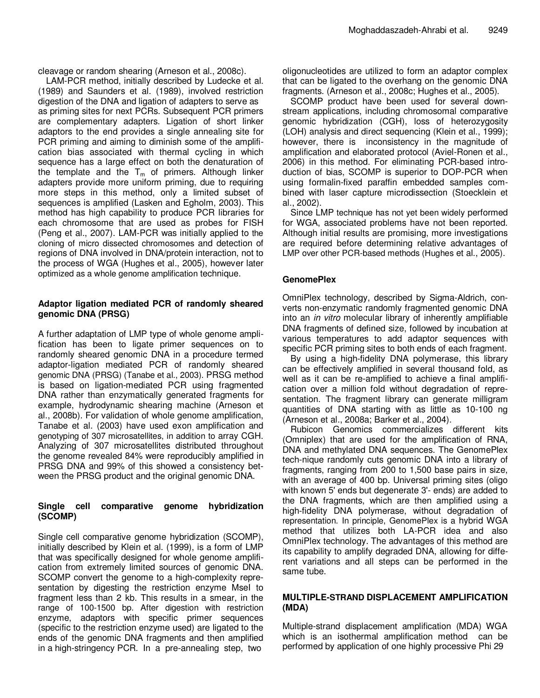cleavage or random shearing (Arneson et al., 2008c).

LAM-PCR method, initially described by Ludecke et al. (1989) and Saunders et al. (1989), involved restriction digestion of the DNA and ligation of adapters to serve as as priming sites for next PCRs. Subsequent PCR primers are complementary adapters. Ligation of short linker adaptors to the end provides a single annealing site for PCR priming and aiming to diminish some of the amplification bias associated with thermal cycling in which sequence has a large effect on both the denaturation of the template and the  $T_m$  of primers. Although linker adapters provide more uniform priming, due to requiring more steps in this method, only a limited subset of sequences is amplified (Lasken and Egholm, 2003). This method has high capability to produce PCR libraries for each chromosome that are used as probes for FISH (Peng et al., 2007). LAM-PCR was initially applied to the cloning of micro dissected chromosomes and detection of regions of DNA involved in DNA/protein interaction, not to the process of WGA (Hughes et al., 2005), however later optimized as a whole genome amplification technique.

#### **Adaptor ligation mediated PCR of randomly sheared genomic DNA (PRSG)**

A further adaptation of LMP type of whole genome amplification has been to ligate primer sequences on to randomly sheared genomic DNA in a procedure termed adaptor-ligation mediated PCR of randomly sheared genomic DNA (PRSG) (Tanabe et al., 2003). PRSG method is based on ligation-mediated PCR using fragmented DNA rather than enzymatically generated fragments for example, hydrodynamic shearing machine (Arneson et al., 2008b). For validation of whole genome amplification, Tanabe et al. (2003) have used exon amplification and genotyping of 307 microsatellites, in addition to array CGH. Analyzing of 307 microsatellites distributed throughout the genome revealed 84% were reproducibly amplified in PRSG DNA and 99% of this showed a consistency between the PRSG product and the original genomic DNA.

#### **Single cell comparative genome hybridization (SCOMP)**

Single cell comparative genome hybridization (SCOMP), initially described by Klein et al. (1999), is a form of LMP that was specifically designed for whole genome amplification from extremely limited sources of genomic DNA. SCOMP convert the genome to a high-complexity representation by digesting the restriction enzyme Msel to fragment less than 2 kb. This results in a smear, in the range of 100-1500 bp. After digestion with restriction enzyme, adaptors with specific primer sequences (specific to the restriction enzyme used) are ligated to the ends of the genomic DNA fragments and then amplified in a high-stringency PCR. In a pre-annealing step, two

oligonucleotides are utilized to form an adaptor complex that can be ligated to the overhang on the genomic DNA fragments. (Arneson et al., 2008c; Hughes et al., 2005).

SCOMP product have been used for several downstream applications, including chromosomal comparative genomic hybridization (CGH), loss of heterozygosity (LOH) analysis and direct sequencing (Klein et al., 1999); however, there is inconsistency in the magnitude of amplification and elaborated protocol (Aviel-Ronen et al., 2006) in this method. For eliminating PCR-based introduction of bias, SCOMP is superior to DOP-PCR when using formalin-fixed paraffin embedded samples combined with laser capture microdissection (Stoecklein et al., 2002).

Since LMP technique has not yet been widely performed for WGA, associated problems have not been reported. Although initial results are promising, more investigations are required before determining relative advantages of LMP over other PCR-based methods (Hughes et al., 2005).

#### **GenomePlex**

OmniPlex technology, described by Sigma-Aldrich, converts non-enzymatic randomly fragmented genomic DNA into an *in vitro* molecular library of inherently amplifiable DNA fragments of defined size, followed by incubation at various temperatures to add adaptor sequences with specific PCR priming sites to both ends of each fragment.

By using a high-fidelity DNA polymerase, this library can be effectively amplified in several thousand fold, as well as it can be re-amplified to achieve a final amplification over a million fold without degradation of representation. The fragment library can generate milligram quantities of DNA starting with as little as 10-100 ng (Arneson et al., 2008a; Barker et al., 2004).

Rubicon Genomics commercializes different kits (Omniplex) that are used for the amplification of RNA, DNA and methylated DNA sequences. The GenomePlex tech-nique randomly cuts genomic DNA into a library of fragments, ranging from 200 to 1,500 base pairs in size, with an average of 400 bp. Universal priming sites (oligo with known 5' ends but degenerate 3'- ends) are added to the DNA fragments, which are then amplified using a high-fidelity DNA polymerase, without degradation of representation. In principle, GenomePlex is a hybrid WGA method that utilizes both LA-PCR idea and also OmniPlex technology. The advantages of this method are its capability to amplify degraded DNA, allowing for different variations and all steps can be performed in the same tube.

#### **MULTIPLE-STRAND DISPLACEMENT AMPLIFICATION (MDA)**

Multiple-strand displacement amplification (MDA) WGA which is an isothermal amplification method can be performed by application of one highly processive Phi 29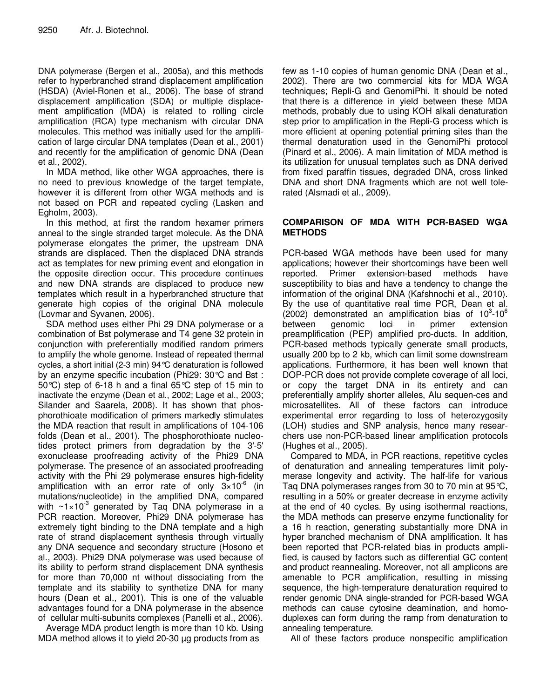DNA polymerase (Bergen et al., 2005a), and this methods refer to hyperbranched strand displacement amplification (HSDA) (Aviel-Ronen et al., 2006). The base of strand displacement amplification (SDA) or multiple displacement amplification (MDA) is related to rolling circle amplification (RCA) type mechanism with circular DNA molecules. This method was initially used for the amplification of large circular DNA templates (Dean et al., 2001) and recently for the amplification of genomic DNA (Dean et al., 2002).

In MDA method, like other WGA approaches, there is no need to previous knowledge of the target template, however it is different from other WGA methods and is not based on PCR and repeated cycling (Lasken and Egholm, 2003).

In this method, at first the random hexamer primers anneal to the single stranded target molecule. As the DNA polymerase elongates the primer, the upstream DNA strands are displaced. Then the displaced DNA strands act as templates for new priming event and elongation in the opposite direction occur. This procedure continues and new DNA strands are displaced to produce new templates which result in a hyperbranched structure that generate high copies of the original DNA molecule (Lovmar and Syvanen, 2006).

SDA method uses either Phi 29 DNA polymerase or a combination of Bst polymerase and T4 gene 32 protein in conjunction with preferentially modified random primers to amplify the whole genome. Instead of repeated thermal cycles, a short initial (2-3 min) 94°C denaturation is followed by an enzyme specific incubation (Phi29: 30°C and Bst : 50°C) step of 6-18 h and a final 65°C step of 15 min to inactivate the enzyme (Dean et al., 2002; Lage et al., 2003; Silander and Saarela, 2008). It has shown that phosphorothioate modification of primers markedly stimulates the MDA reaction that result in amplifications of 104-106 folds (Dean et al., 2001). The phosphorothioate nucleotides protect primers from degradation by the 3'-5' exonuclease proofreading activity of the Phi29 DNA polymerase. The presence of an associated proofreading activity with the Phi 29 polymerase ensures high-fidelity amplification with an error rate of only  $3\times10^{-6}$  (in mutations/nucleotide) in the amplified DNA, compared with  $\sim$ 1 $\times$ 10<sup>-3</sup> generated by Taq DNA polymerase in a PCR reaction. Moreover, Phi29 DNA polymerase has extremely tight binding to the DNA template and a high rate of strand displacement synthesis through virtually any DNA sequence and secondary structure (Hosono et al., 2003). Phi29 DNA polymerase was used because of its ability to perform strand displacement DNA synthesis for more than 70,000 nt without dissociating from the template and its stability to synthetize DNA for many hours (Dean et al., 2001). This is one of the valuable advantages found for a DNA polymerase in the absence of cellular multi-subunits complexes (Panelli et al., 2006).

Average MDA product length is more than 10 kb. Using MDA method allows it to yield 20-30 µg products from as

few as 1-10 copies of human genomic DNA (Dean et al., 2002). There are two commercial kits for MDA WGA techniques; Repli-G and GenomiPhi. It should be noted that there is a difference in yield between these MDA methods, probably due to using KOH alkali denaturation step prior to amplification in the Repli-G process which is more efficient at opening potential priming sites than the thermal denaturation used in the GenomiPhi protocol (Pinard et al., 2006). A main limitation of MDA method is its utilization for unusual templates such as DNA derived from fixed paraffin tissues, degraded DNA, cross linked DNA and short DNA fragments which are not well tolerated (Alsmadi et al., 2009).

#### **COMPARISON OF MDA WITH PCR-BASED WGA METHODS**

PCR-based WGA methods have been used for many applications; however their shortcomings have been well reported. Primer extension-based methods have susceptibility to bias and have a tendency to change the information of the original DNA (Kafshnochi et al., 2010). By the use of quantitative real time PCR, Dean et al.  $(2002)$  demonstrated an amplification bias of  $10^3$ -10<sup>6</sup> between genomic loci in primer extension preamplification (PEP) amplified pro-ducts. In addition, PCR-based methods typically generate small products, usually 200 bp to 2 kb, which can limit some downstream applications. Furthermore, it has been well known that DOP-PCR does not provide complete coverage of all loci, or copy the target DNA in its entirety and can preferentially amplify shorter alleles, Alu sequen-ces and microsatellites. All of these factors can introduce experimental error regarding to loss of heterozygosity (LOH) studies and SNP analysis, hence many researchers use non-PCR-based linear amplification protocols (Hughes et al., 2005).

Compared to MDA, in PCR reactions, repetitive cycles of denaturation and annealing temperatures limit polymerase longevity and activity. The half-life for various Taq DNA polymerases ranges from 30 to 70 min at 95°C, resulting in a 50% or greater decrease in enzyme activity at the end of 40 cycles. By using isothermal reactions, the MDA methods can preserve enzyme functionality for a 16 h reaction, generating substantially more DNA in hyper branched mechanism of DNA amplification. It has been reported that PCR-related bias in products amplified, is caused by factors such as differential GC content and product reannealing. Moreover, not all amplicons are amenable to PCR amplification, resulting in missing sequence, the high-temperature denaturation required to render genomic DNA single-stranded for PCR-based WGA methods can cause cytosine deamination, and homoduplexes can form during the ramp from denaturation to annealing temperature.

All of these factors produce nonspecific amplification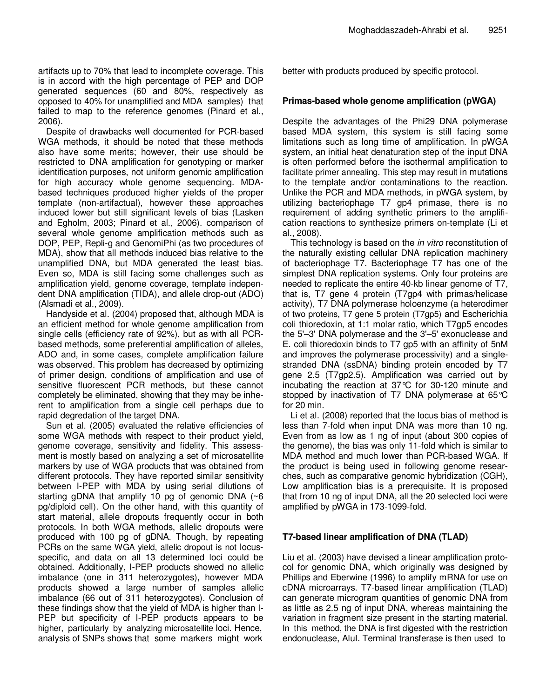artifacts up to 70% that lead to incomplete coverage. This is in accord with the high percentage of PEP and DOP generated sequences (60 and 80%, respectively as opposed to 40% for unamplified and MDA samples) that failed to map to the reference genomes (Pinard et al., 2006).

Despite of drawbacks well documented for PCR-based WGA methods, it should be noted that these methods also have some merits; however, their use should be restricted to DNA amplification for genotyping or marker identification purposes, not uniform genomic amplification for high accuracy whole genome sequencing. MDAbased techniques produced higher yields of the proper template (non-artifactual), however these approaches induced lower but still significant levels of bias (Lasken and Egholm, 2003; Pinard et al., 2006). comparison of several whole genome amplification methods such as DOP, PEP, Repli-g and GenomiPhi (as two procedures of MDA), show that all methods induced bias relative to the unamplified DNA, but MDA generated the least bias. Even so, MDA is still facing some challenges such as amplification yield, genome coverage, template independent DNA amplification (TIDA), and allele drop-out (ADO) (Alsmadi et al., 2009).

Handyside et al. (2004) proposed that, although MDA is an efficient method for whole genome amplification from single cells (efficiency rate of 92%), but as with all PCRbased methods, some preferential amplification of alleles, ADO and, in some cases, complete amplification failure was observed. This problem has decreased by optimizing of primer design, conditions of amplification and use of sensitive fluorescent PCR methods, but these cannot completely be eliminated, showing that they may be inherent to amplification from a single cell perhaps due to rapid degredation of the target DNA.

Sun et al. (2005) evaluated the relative efficiencies of some WGA methods with respect to their product yield, genome coverage, sensitivity and fidelity. This assessment is mostly based on analyzing a set of microsatellite markers by use of WGA products that was obtained from different protocols. They have reported similar sensitivity between I-PEP with MDA by using serial dilutions of starting gDNA that amplify 10 pg of genomic DNA  $(~6)$ pg/diploid cell). On the other hand, with this quantity of start material, allele dropouts frequently occur in both protocols. In both WGA methods, allelic dropouts were produced with 100 pg of gDNA. Though, by repeating PCRs on the same WGA yield, allelic dropout is not locusspecific, and data on all 13 determined loci could be obtained. Additionally, I-PEP products showed no allelic imbalance (one in 311 heterozygotes), however MDA products showed a large number of samples allelic imbalance (66 out of 311 heterozygotes). Conclusion of these findings show that the yield of MDA is higher than I-PEP but specificity of I-PEP products appears to be higher, particularly by analyzing microsatellite loci. Hence, analysis of SNPs shows that some markers might work better with products produced by specific protocol.

#### **Primas-based whole genome amplification (pWGA)**

Despite the advantages of the Phi29 DNA polymerase based MDA system, this system is still facing some limitations such as long time of amplification. In pWGA system, an initial heat denaturation step of the input DNA is often performed before the isothermal amplification to facilitate primer annealing. This step may result in mutations to the template and/or contaminations to the reaction. Unlike the PCR and MDA methods, in pWGA system, by utilizing bacteriophage T7 gp4 primase, there is no requirement of adding synthetic primers to the amplification reactions to synthesize primers on-template (Li et al., 2008).

This technology is based on the *in vitro* reconstitution of the naturally existing cellular DNA replication machinery of bacteriophage T7. Bacteriophage T7 has one of the simplest DNA replication systems. Only four proteins are needed to replicate the entire 40-kb linear genome of T7, that is, T7 gene 4 protein (T7gp4 with primas/helicase activity), T7 DNA polymerase holoenzyme (a heterodimer of two proteins, T7 gene 5 protein (T7gp5) and Escherichia coli thioredoxin, at 1:1 molar ratio, which T7gp5 encodes the 5'–3' DNA polymerase and the 3'–5' exonuclease and E. coli thioredoxin binds to T7 gp5 with an affinity of 5nM and improves the polymerase processivity) and a singlestranded DNA (ssDNA) binding protein encoded by T7 gene 2.5 (T7gp2.5). Amplification was carried out by incubating the reaction at 37°C for 30-120 minute and stopped by inactivation of T7 DNA polymerase at 65°C for 20 min.

Li et al. (2008) reported that the locus bias of method is less than 7-fold when input DNA was more than 10 ng. Even from as low as 1 ng of input (about 300 copies of the genome), the bias was only 11-fold which is similar to MDA method and much lower than PCR-based WGA. If the product is being used in following genome researches, such as comparative genomic hybridization (CGH), Low amplification bias is a prerequisite. It is proposed that from 10 ng of input DNA, all the 20 selected loci were amplified by pWGA in 173-1099-fold.

#### **T7-based linear amplification of DNA (TLAD)**

Liu et al. (2003) have devised a linear amplification protocol for genomic DNA, which originally was designed by Phillips and Eberwine (1996) to amplify mRNA for use on cDNA microarrays. T7-based linear amplification (TLAD) can generate microgram quantities of genomic DNA from as little as 2.5 ng of input DNA, whereas maintaining the variation in fragment size present in the starting material. In this method, the DNA is first digested with the restriction endonuclease, Alul. Terminal transferase is then used to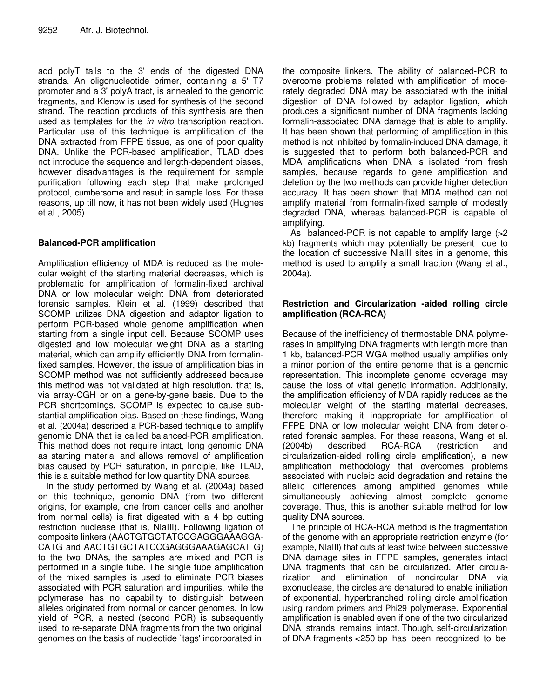add polyT tails to the 3' ends of the digested DNA strands. An oligonucleotide primer, containing a 5' T7 promoter and a 3' polyA tract, is annealed to the genomic fragments, and Klenow is used for synthesis of the second strand. The reaction products of this synthesis are then used as templates for the *in vitro* transcription reaction. Particular use of this technique is amplification of the DNA extracted from FFPE tissue, as one of poor quality DNA. Unlike the PCR-based amplification, TLAD does not introduce the sequence and length-dependent biases, however disadvantages is the requirement for sample purification following each step that make prolonged protocol, cumbersome and result in sample loss. For these reasons, up till now, it has not been widely used (Hughes et al., 2005).

### **Balanced-PCR amplification**

Amplification efficiency of MDA is reduced as the molecular weight of the starting material decreases, which is problematic for amplification of formalin-fixed archival DNA or low molecular weight DNA from deteriorated forensic samples. Klein et al. (1999) described that SCOMP utilizes DNA digestion and adaptor ligation to perform PCR-based whole genome amplification when starting from a single input cell. Because SCOMP uses digested and low molecular weight DNA as a starting material, which can amplify efficiently DNA from formalinfixed samples. However, the issue of amplification bias in SCOMP method was not sufficiently addressed because this method was not validated at high resolution, that is, via array-CGH or on a gene-by-gene basis. Due to the PCR shortcomings, SCOMP is expected to cause substantial amplification bias. Based on these findings, Wang et al. (2004a) described a PCR-based technique to amplify genomic DNA that is called balanced-PCR amplification. This method does not require intact, long genomic DNA as starting material and allows removal of amplification bias caused by PCR saturation, in principle, like TLAD, this is a suitable method for low quantity DNA sources.

In the study performed by Wang et al. (2004a) based on this technique, genomic DNA (from two different origins, for example, one from cancer cells and another from normal cells) is first digested with a 4 bp cutting restriction nuclease (that is, NlaIII). Following ligation of composite linkers (AACTGTGCTATCCGAGGGAAAGGA-CATG and AACTGTGCTATCCGAGGGAAAGAGCAT G) to the two DNAs, the samples are mixed and PCR is performed in a single tube. The single tube amplification of the mixed samples is used to eliminate PCR biases associated with PCR saturation and impurities, while the polymerase has no capability to distinguish between alleles originated from normal or cancer genomes. In low yield of PCR, a nested (second PCR) is subsequently used to re-separate DNA fragments from the two original genomes on the basis of nucleotide `tags' incorporated in

the composite linkers. The ability of balanced-PCR to overcome problems related with amplification of moderately degraded DNA may be associated with the initial digestion of DNA followed by adaptor ligation, which produces a significant number of DNA fragments lacking formalin-associated DNA damage that is able to amplify. It has been shown that performing of amplification in this method is not inhibited by formalin-induced DNA damage, it is suggested that to perform both balanced-PCR and MDA amplifications when DNA is isolated from fresh samples, because regards to gene amplification and deletion by the two methods can provide higher detection accuracy. It has been shown that MDA method can not amplify material from formalin-fixed sample of modestly degraded DNA, whereas balanced-PCR is capable of amplifying.

As balanced-PCR is not capable to amplify large (>2 kb) fragments which may potentially be present due to the location of successive NlaIII sites in a genome, this method is used to amplify a small fraction (Wang et al., 2004a).

#### **Restriction and Circularization -aided rolling circle amplification (RCA-RCA)**

Because of the inefficiency of thermostable DNA polymerases in amplifying DNA fragments with length more than 1 kb, balanced-PCR WGA method usually amplifies only a minor portion of the entire genome that is a genomic representation. This incomplete genome coverage may cause the loss of vital genetic information. Additionally, the amplification efficiency of MDA rapidly reduces as the molecular weight of the starting material decreases, therefore making it inappropriate for amplification of FFPE DNA or low molecular weight DNA from deteriorated forensic samples. For these reasons, Wang et al. (2004b) described RCA-RCA (restriction and circularization-aided rolling circle amplification), a new amplification methodology that overcomes problems associated with nucleic acid degradation and retains the allelic differences among amplified genomes while simultaneously achieving almost complete genome coverage. Thus, this is another suitable method for low quality DNA sources.

The principle of RCA-RCA method is the fragmentation of the genome with an appropriate restriction enzyme (for example, NIaIII) that cuts at least twice between successive DNA damage sites in FFPE samples, generates intact DNA fragments that can be circularized. After circularization and elimination of noncircular DNA via exonuclease, the circles are denatured to enable initiation of exponential, hyperbranched rolling circle amplification using random primers and Phi29 polymerase. Exponential amplification is enabled even if one of the two circularized DNA strands remains intact. Though, self-circularization of DNA fragments <250 bp has been recognized to be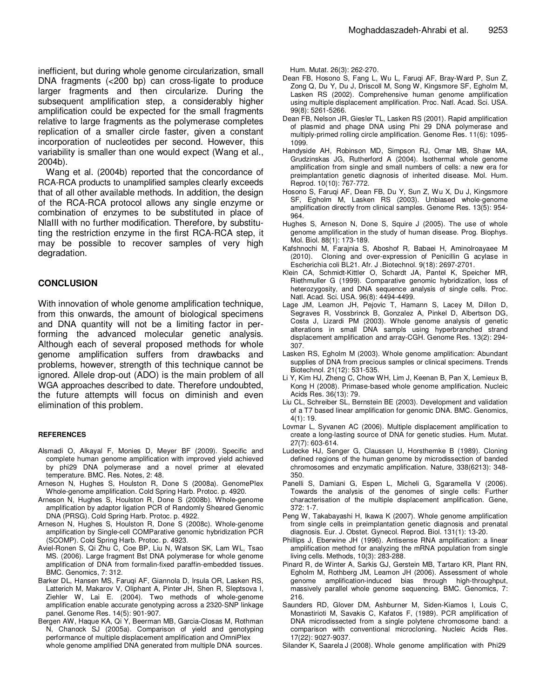inefficient, but during whole genome circularization, small DNA fragments (<200 bp) can cross-ligate to produce larger fragments and then circularize. During the subsequent amplification step, a considerably higher amplification could be expected for the small fragments relative to large fragments as the polymerase completes replication of a smaller circle faster, given a constant incorporation of nucleotides per second. However, this variability is smaller than one would expect (Wang et al., 2004b).

Wang et al. (2004b) reported that the concordance of RCA-RCA products to unamplified samples clearly exceeds that of all other available methods. In addition, the design of the RCA-RCA protocol allows any single enzyme or combination of enzymes to be substituted in place of NlaIII with no further modification. Therefore, by substituting the restriction enzyme in the first RCA-RCA step, it may be possible to recover samples of very high degradation.

#### **CONCLUSION**

With innovation of whole genome amplification technique, from this onwards, the amount of biological specimens and DNA quantity will not be a limiting factor in performing the advanced molecular genetic analysis. Although each of several proposed methods for whole genome amplification suffers from drawbacks and problems, however, strength of this technique cannot be ignored. Allele drop-out (ADO) is the main problem of all WGA approaches described to date. Therefore undoubted, the future attempts will focus on diminish and even elimination of this problem.

#### **REFERENCES**

- Alsmadi O, Alkayal F, Monies D, Meyer BF (2009). Specific and complete human genome amplification with improved yield achieved by phi29 DNA polymerase and a novel primer at elevated temperature. BMC. Res. Notes, 2: 48.
- Arneson N, Hughes S, Houlston R, Done S (2008a). GenomePlex Whole-genome amplification. Cold Spring Harb. Protoc. p. 4920.
- Arneson N, Hughes S, Houlston R, Done S (2008b). Whole-genome amplification by adaptor ligation PCR of Randomly Sheared Genomic DNA (PRSG). Cold Spring Harb. Protoc. p. 4922.
- Arneson N, Hughes S, Houlston R, Done S (2008c). Whole-genome amplification by Single-cell COMParative genomic hybridization PCR (SCOMP). Cold Spring Harb. Protoc. p. 4923.
- Aviel-Ronen S, Qi Zhu C, Coe BP, Liu N, Watson SK, Lam WL, Tsao MS. (2006). Large fragment Bst DNA polymerase for whole genome amplification of DNA from formalin-fixed paraffin-embedded tissues. BMC. Genomics, 7: 312.
- Barker DL, Hansen MS, Faruqi AF, Giannola D, Irsula OR, Lasken RS, Latterich M, Makarov V, Oliphant A, Pinter JH, Shen R, Sleptsova I, Ziehler W, Lai E. (2004). Two methods of whole-genome amplification enable accurate genotyping across a 2320-SNP linkage panel. Genome Res. 14(5): 901-907.
- Bergen AW, Haque KA, Qi Y, Beerman MB, Garcia-Closas M, Rothman N, Chanock SJ (2005a). Comparison of yield and genotyping performance of multiple displacement amplification and OmniPlex whole genome amplified DNA generated from multiple DNA sources.

Hum. Mutat. 26(3): 262-270.

- Dean FB, Hosono S, Fang L, Wu L, Faruqi AF, Bray-Ward P, Sun Z, Zong Q, Du Y, Du J, Driscoll M, Song W, Kingsmore SF, Egholm M, Lasken RS (2002). Comprehensive human genome amplification using multiple displacement amplification. Proc. Natl. Acad. Sci. USA. 99(8): 5261-5266.
- Dean FB, Nelson JR, Giesler TL, Lasken RS (2001). Rapid amplification of plasmid and phage DNA using Phi 29 DNA polymerase and multiply-primed rolling circle amplification. Genome Res. 11(6): 1095- 1099.
- Handyside AH, Robinson MD, Simpson RJ, Omar MB, Shaw MA, Grudzinskas JG, Rutherford A (2004). Isothermal whole genome amplification from single and small numbers of cells: a new era for preimplantation genetic diagnosis of inherited disease. Mol. Hum. Reprod. 10(10): 767-772.
- Hosono S, Faruqi AF, Dean FB, Du Y, Sun Z, Wu X, Du J, Kingsmore SF, Egholm M, Lasken RS (2003). Unbiased whole-genome amplification directly from clinical samples. Genome Res. 13(5): 954- 964.
- Hughes S, Arneson N, Done S, Squire J (2005). The use of whole genome amplification in the study of human disease. Prog. Biophys. Mol. Biol. 88(1): 173-189.
- Kafshnochi M, Farajnia S, Aboshof R, Babaei H, Aminolroayaee M (2010). Cloning and over-expression of Penicillin G acylase in Escherichia coli BL21. Afr. J .Biotechnol. 9(18): 2697-2701.
- Klein CA, Schmidt-Kittler O, Schardt JA, Pantel K, Speicher MR, Riethmuller G (1999). Comparative genomic hybridization, loss of heterozygosity, and DNA sequence analysis of single cells. Proc. Natl. Acad. Sci. USA. 96(8): 4494-4499.
- Lage JM, Leamon JH, Pejovic T, Hamann S, Lacey M, Dillon D, Segraves R, Vossbrinck B, Gonzalez A, Pinkel D, Albertson DG, Costa J, Lizardi PM (2003). Whole genome analysis of genetic alterations in small DNA sampls using hyperbranched strand displacement amplification and array-CGH. Genome Res. 13(2): 294- 307.
- Lasken RS, Egholm M (2003). Whole genome amplification: Abundant supplies of DNA from precious samples or clinical specimens. Trends Biotechnol. 21(12): 531-535.
- Li Y, Kim HJ, Zheng C, Chow WH, Lim J, Keenan B, Pan X, Lemieux B, Kong H (2008). Primase-based whole genome amplification. Nucleic Acids Res. 36(13): 79.
- Liu CL, Schreiber SL, Bernstein BE (2003). Development and validation of a T7 based linear amplification for genomic DNA. BMC. Genomics, 4(1): 19.
- Lovmar L, Syvanen AC (2006). Multiple displacement amplification to create a long-lasting source of DNA for genetic studies. Hum. Mutat. 27(7): 603-614.
- Ludecke HJ, Senger G, Claussen U, Horsthemke B (1989). Cloning defined regions of the human genome by microdissection of banded chromosomes and enzymatic amplification. Nature, 338(6213): 348- 350.
- Panelli S, Damiani G, Espen L, Micheli G, Sgaramella V (2006). Towards the analysis of the genomes of single cells: Further characterisation of the multiple displacement amplification. Gene, 372: 1-7.
- Peng W, Takabayashi H, Ikawa K (2007). Whole genome amplification from single cells in preimplantation genetic diagnosis and prenatal diagnosis. Eur. J. Obstet. Gynecol. Reprod. Biol. 131(1): 13-20.
- Phillips J, Eberwine JH (1996). Antisense RNA amplification: a linear amplification method for analyzing the mRNA population from single living cells. Methods, 10(3): 283-288.
- Pinard R, de Winter A, Sarkis GJ, Gerstein MB, Tartaro KR, Plant RN, Egholm M, Rothberg JM, Leamon JH (2006). Assessment of whole genome amplification-induced bias through high-throughput, massively parallel whole genome sequencing. BMC. Genomics, 7: 216.
- Saunders RD, Glover DM, Ashburner M, Siden-Kiamos I, Louis C, Monastirioti M, Savakis C, Kafatos F, (1989). PCR amplification of DNA microdissected from a single polytene chromosome band: a comparison with conventional microcloning. Nucleic Acids Res. 17(22): 9027-9037.

Silander K, Saarela J (2008). Whole genome amplification with Phi29